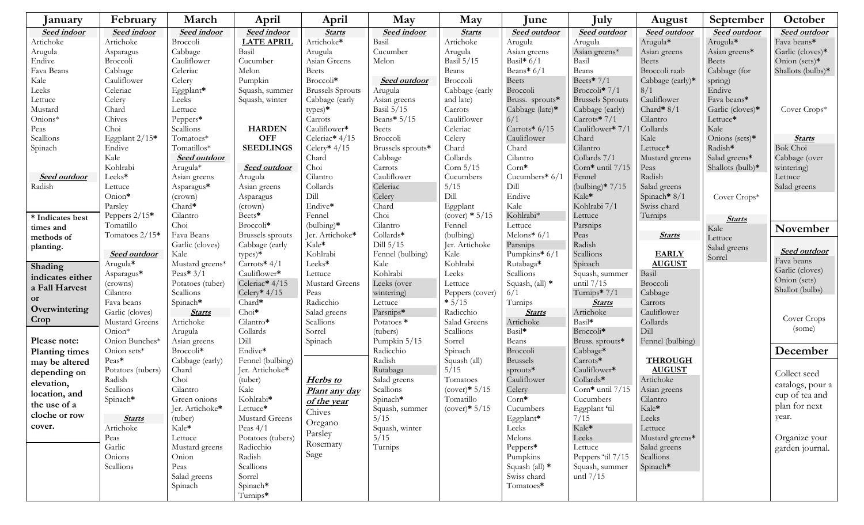| January               | February            | March               | April                        | April                   | May                 | May              | June                | July                    | August              | September             | October             |
|-----------------------|---------------------|---------------------|------------------------------|-------------------------|---------------------|------------------|---------------------|-------------------------|---------------------|-----------------------|---------------------|
| <b>Seed indoor</b>    | Seed indoor         | <b>Seed indoor</b>  | <b>Seed indoor</b>           | <b>Starts</b>           | <b>Seed indoor</b>  | <b>Starts</b>    | <b>Seed outdoor</b> | <b>Seed outdoor</b>     | <b>Seed outdoor</b> | <b>Seed outdoor</b>   | <b>Seed outdoor</b> |
| Artichoke             | Artichoke           | Broccoli            | <b>LATE APRIL</b>            | Artichoke*              | Basil               | Artichoke        | Arugula             | Arugula                 | Arugula*            | Arugula*              | Fava beans*         |
| Arugula               | Asparagus           | Cabbage             | Basil                        | Arugula                 | Cucumber            | Arugula          | Asian greens        | Asian greens*           | Asian greens        | Asian greens*         | Garlic (cloves)*    |
| Endive                | Broccoli            | Cauliflower         | Cucumber                     | Asian Greens            | Melon               | Basil $5/15$     | Basil* $6/1$        | Basil                   | <b>Beets</b>        | <b>Beets</b>          | Onion (sets)*       |
| Fava Beans            | Cabbage             | Celeriac            | Melon                        | <b>Beets</b>            |                     | Beans            | Beans* $6/1$        | Beans                   | Broccoli raab       | Cabbage (for          | Shallots (bulbs)*   |
| Kale                  | Cauliflower         | Celery              | Pumpkin                      | Broccoli*               | <b>Seed outdoor</b> | Broccoli         | <b>Beets</b>        | Beets* $7/1$            | Cabbage (early)*    | spring)               |                     |
| Leeks                 | Celeriac            | Eggplant*           | Squash, summer               | <b>Brussels</b> Sprouts | Arugula             | Cabbage (early   | Broccoli            | Broccoli* $7/1$         | 8/1                 | Endive                |                     |
| Lettuce               | Celery              | Leeks               | Squash, winter               | Cabbage (early          | Asian greens        | and late)        | Bruss. sprouts*     | <b>Brussels Sprouts</b> | Cauliflower         | Fava beans*           |                     |
| Mustard               | Chard               | Lettuce             |                              | types)*                 | Basil $5/15$        | Carrots          | Cabbage (late)*     | Cabbage (early)         | Chard* $8/1$        | Garlic (cloves)*      | Cover Crops*        |
| Onions*               | Chives              | Peppers*            |                              | Carrots                 | Beans* 5/15         | Cauliflower      | 6/1                 | Carrots* $7/1$          | Cilantro            | Lettuce*              |                     |
| Peas                  | Choi                | Scallions           | <b>HARDEN</b>                | Cauliflower*            | <b>Beets</b>        | Celeriac         | Carrots* 6/15       | Cauliflower* 7/1        | Collards            | Kale                  |                     |
| Scallions             | Eggplant $2/15*$    | Tomatoes*           | <b>OFF</b>                   | Celeriac* 4/15          | Broccoli            | Celery           | Cauliflower         | Chard                   | Kale                | Onions (sets)*        | <b>Starts</b>       |
| Spinach               | Endive              | Tomatillos*         | <b>SEEDLINGS</b>             | Celery* $4/15$          | Brussels sprouts*   | Chard            | Chard               | Cilantro                | Lettuce*            | Radish*               | <b>Bok Choi</b>     |
|                       | Kale                | <b>Seed outdoor</b> |                              | Chard                   | Cabbage             | Collards         | Cilantro            | Collards 7/1            | Mustard greens      | Salad greens*         | Cabbage (over       |
|                       | Kohlrabi            | $\mbox{Arugula*}$   | <b>Seed outdoor</b>          | Choi                    | Carrots             | Corn $5/15$      | $Corn*$             | Corn* until 7/15        | Peas                | Shallots (bulb)*      | wintering)          |
| <b>Seed outdoor</b>   | Leeks*              | Asian greens        | Arugula                      | Cilantro                | Cauliflower         | Cucumbers        | Cucumbers* 6/1      | Fennel                  | Radish              |                       | Lettuce             |
| Radish                | Lettuce             | Asparagus*          | Asian greens                 | Collards                | Celeriac            | 5/15             | Dill                | (bulbing)* $7/15$       | Salad greens        |                       | Salad greens        |
|                       | Onion*              | (crown)             | Asparagus                    | Dill                    | Celery              | Dill             | Endive              | Kale*                   | Spinach* 8/1        | Cover Crops*          |                     |
|                       | Parsley             | Chard*              | (crown)                      | Endive*                 | Chard               | Eggplant         | Kale                | Kohlrabi 7/1            | Swiss chard         |                       |                     |
| * Indicates best      | Peppers 2/15*       | Cilantro            | Beets*                       | Fennel                  | Choi                | $(cover) * 5/15$ | Kohlrabi*           | Lettuce                 | Turnips             |                       |                     |
| times and             | Tomatillo           | Choi                | Broccoli*                    | $(bulbing)*$            | Cilantro            | Fennel           | Lettuce             | Parsnips                |                     | <b>Starts</b><br>Kale | November            |
| methods of            | Tomatoes 2/15*      | Fava Beans          | <b>Brussels</b> sprouts      | Jer. Artichoke*         | Collards*           | (bulbing)        | Melons* $6/1$       | Peas                    | <b>Starts</b>       | Lettuce               |                     |
| planting.             |                     | Garlic (cloves)     | Cabbage (early               | Kale*                   | Dill $5/15$         | Jer. Artichoke   | Parsnips            | Radish                  |                     | Salad greens          |                     |
|                       | <b>Seed outdoor</b> | Kale                | types)*                      | Kohlrabi                | Fennel (bulbing)    | Kale             | Pumpkins* $6/1$     | Scallions               | <b>EARLY</b>        | Sorrel                | Seed outdoor        |
| Shading               | Arugula*            | Mustard greens*     | Carrots* 4/1                 | Leeks*                  | Kale                | Kohlrabi         | Rutabaga*           | Spinach                 | <b>AUGUST</b>       |                       | Fava beans          |
|                       | Asparagus*          | Peas* $3/1$         | Cauliflower*                 | Lettuce                 | Kohlrabi            | Leeks            | Scallions           | Squash, summer          | Basil               |                       | Garlic (cloves)     |
| indicates either      | (crowns)            | Potatoes (tuber)    | Celeriac* 4/15               | Mustard Greens          | Leeks (over         | Lettuce          | Squash, (all) $*$   | until $7/15$            | Broccoli            |                       | Onion (sets)        |
| a Fall Harvest        | Cilantro            | Scallions           | Celery* $4/15$               | Peas                    | wintering)          | Peppers (cover)  | 6/1                 | Turnips $* 7/1$         | Cabbage             |                       | Shallot (bulbs)     |
| <b>or</b>             | Fava beans          | Spinach*            | Chard*                       | Radicchio               | Lettuce             | $*5/15$          | Turnips             | <b>Starts</b>           | Carrots             |                       |                     |
| Overwintering         | Garlic (cloves)     | <b>Starts</b>       | $Choi*$                      | Salad greens            | Parsnips*           | Radicchio        | <b>Starts</b>       | Artichoke               | Cauliflower         |                       |                     |
| Crop                  | Mustard Greens      | Artichoke           | Cilantro*                    | Scallions               | Potatoes *          | Salad Greens     | Artichoke           | Basil*                  | Collards            |                       | Cover Crops         |
|                       | Onion*              | Arugula             | Collards                     | Sorrel                  | (tubers)            | Scallions        | Basil*              | Broccoli*               | Dill                |                       | (some)              |
| Please note:          | Onion Bunches*      | Asian greens        | $\mathop{\rm Dill}\nolimits$ | Spinach                 | Pumpkin 5/15        | Sorrel           | Beans               | Bruss. sprouts*         | Fennel (bulbing)    |                       |                     |
| <b>Planting times</b> | Onion sets*         | Broccoli*           | Endive*                      |                         | Radicchio           | Spinach          | Broccoli            | Cabbage*                |                     |                       | December            |
| may be altered        | Peas*               | Cabbage (early)     | Fennel (bulbing)             |                         | Radish              | Squash (all)     | <b>Brussels</b>     | Carrots*                | <b>THROUGH</b>      |                       |                     |
| depending on          | Potatoes (tubers)   | Chard               | Jer. Artichoke*              |                         | Rutabaga            | 5/15             | sprouts*            | Cauliflower*            | <b>AUGUST</b>       |                       | Collect seed        |
| elevation,            | Radish              | Choi                | (tuber)                      | Herbs to                | Salad greens        | Tomatoes         | Cauliflower         | Collards*               | Artichoke           |                       |                     |
|                       | Scallions           | Cilantro            | Kale                         | Plant any day           | Scallions           | $(cover) * 5/15$ | Celery              | Corn* until $7/15$      | Asian greens        |                       | catalogs, pour a    |
| location, and         | Spinach*            | Green omons         | Kohlrabi*                    | of the year             | Spinach*            | Tomatillo        | $Corn*$             | Cucumbers               | Cilantro            |                       | cup of tea and      |
| the use of a          |                     | Jer. Artichoke*     | Lettuce*                     |                         | Squash, summer      | $(cover) * 5/15$ | Cucumbers           | Eggplant 'til           | Kale*               |                       | plan for next       |
| cloche or row         | <b>Starts</b>       | (tuber)             | Mustard Greens               | Chives                  | 5/15                |                  | Eggplant*           | 7/15                    | Leeks               |                       | year.               |
| cover.                | Artichoke           | Kale*               | Peas $4/1$                   | Oregano                 | Squash, winter      |                  | Leeks               | Kale*                   | Lettuce             |                       |                     |
|                       | Peas                | Lettuce             | Potatoes (tubers)            | Parsley                 | 5/15                |                  | Melons              | Leeks                   | Mustard greens*     |                       | Organize your       |
|                       | Garlic              | Mustard greens      | Radicchio                    | Rosemary                | Turnips             |                  | Peppers*            | Lettuce                 | Salad greens        |                       | garden journal.     |
|                       | Onions              | Onion               | Radish                       | Sage                    |                     |                  | Pumpkins            | Peppers 'til 7/15       | Scallions           |                       |                     |
|                       | Scallions           | Peas                | Scallions                    |                         |                     |                  | Squash (all) *      | Squash, summer          | Spinach*            |                       |                     |
|                       |                     | Salad greens        | Sorrel                       |                         |                     |                  | Swiss chard         | untl $7/15$             |                     |                       |                     |
|                       |                     | Spinach             | Spinach*                     |                         |                     |                  | Tomatoes*           |                         |                     |                       |                     |
|                       |                     |                     | Turnips*                     |                         |                     |                  |                     |                         |                     |                       |                     |